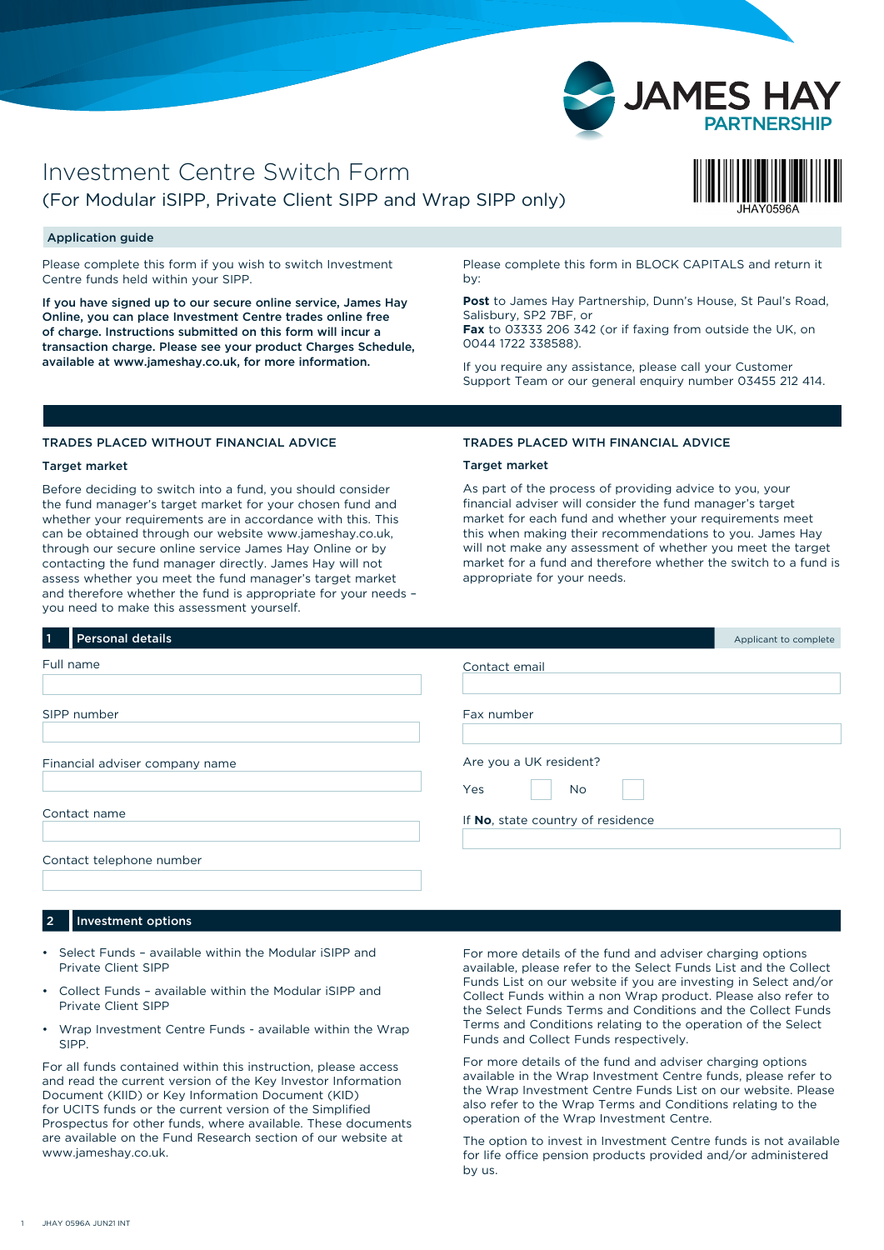

## Investment Centre Switch Form (For Modular iSIPP, Private Client SIPP and Wrap SIPP only)



## Application guide

Please complete this form if you wish to switch Investment Centre funds held within your SIPP.

If you have signed up to our secure online service, James Hay Online, you can place Investment Centre trades online free of charge. Instructions submitted on this form will incur a transaction charge. Please see your product Charges Schedule, available at www.jameshay.co.uk, for more information.

Please complete this form in BLOCK CAPITALS and return it by:

**Post** to James Hay Partnership, Dunn's House, St Paul's Road, Salisbury, SP2 7BF, or

**Fax** to 03333 206 342 (or if faxing from outside the UK, on 0044 1722 338588).

If you require any assistance, please call your Customer Support Team or our general enquiry number 03455 212 414.

## TRADES PLACED WITHOUT FINANCIAL ADVICE

### Target market

Before deciding to switch into a fund, you should consider the fund manager's target market for your chosen fund and whether your requirements are in accordance with this. This can be obtained through our website www.jameshay.co.uk, through our secure online service James Hay Online or by contacting the fund manager directly. James Hay will not assess whether you meet the fund manager's target market and therefore whether the fund is appropriate for your needs – you need to make this assessment yourself.

#### TRADES PLACED WITH FINANCIAL ADVICE

## Target market

As part of the process of providing advice to you, your financial adviser will consider the fund manager's target market for each fund and whether your requirements meet this when making their recommendations to you. James Hay will not make any assessment of whether you meet the target market for a fund and therefore whether the switch to a fund is appropriate for your needs.

| <b>Personal details</b><br>$\vert$ 1 |                                     | Applicant to complete |
|--------------------------------------|-------------------------------------|-----------------------|
| Full name                            | Contact email                       |                       |
| SIPP number                          | Fax number                          |                       |
| Financial adviser company name       | Are you a UK resident?<br>Yes<br>No |                       |
| Contact name                         | If No, state country of residence   |                       |
| Contact telephone number             |                                     |                       |

## 2 Investment options

- Select Funds available within the Modular iSIPP and Private Client SIPP
- Collect Funds available within the Modular iSIPP and Private Client SIPP
- Wrap Investment Centre Funds available within the Wrap SIPP.

For all funds contained within this instruction, please access and read the current version of the Key Investor Information Document (KIID) or Key Information Document (KID) for UCITS funds or the current version of the Simplified Prospectus for other funds, where available. These documents are available on the Fund Research section of our website at [www.jameshay.co.uk.](http://www.jameshay.co.uk)

For more details of the fund and adviser charging options available, please refer to the Select Funds List and the Collect Funds List on our website if you are investing in Select and/or Collect Funds within a non Wrap product. Please also refer to the Select Funds Terms and Conditions and the Collect Funds Terms and Conditions relating to the operation of the Select Funds and Collect Funds respectively.

For more details of the fund and adviser charging options available in the Wrap Investment Centre funds, please refer to the Wrap Investment Centre Funds List on our website. Please also refer to the Wrap Terms and Conditions relating to the operation of the Wrap Investment Centre.

The option to invest in Investment Centre funds is not available for life office pension products provided and/or administered by us.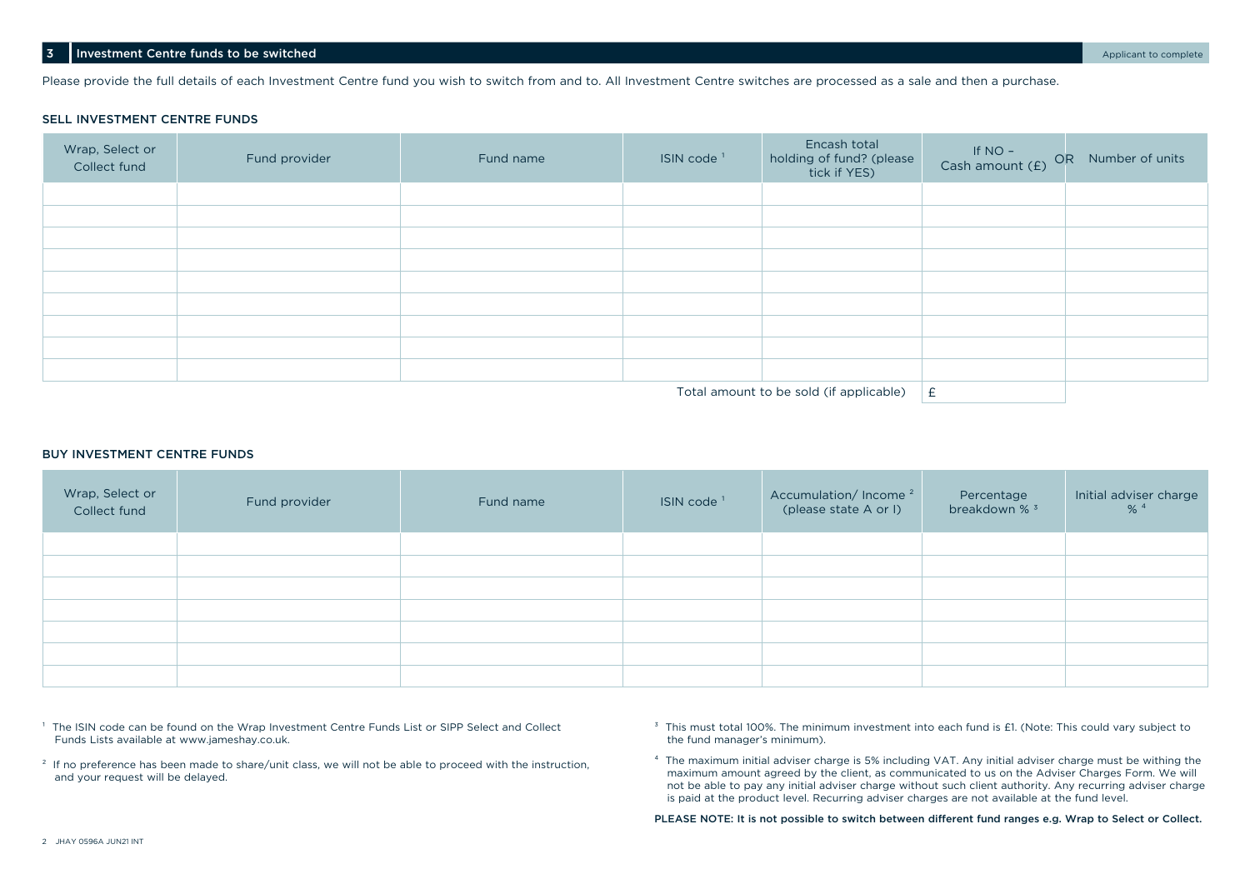Please provide the full details of each Investment Centre fund you wish to switch from and to. All Investment Centre switches are processed as a sale and then a purchase.

#### SELL INVESTMENT CENTRE FUNDS

| Wrap, Select or<br>Collect fund | Fund provider | Fund name | ISIN code <sup>1</sup> | Encash total<br>holding of fund? (please<br>tick if YES) | If NO -<br>Cash amount (£) OR Number of units |  |
|---------------------------------|---------------|-----------|------------------------|----------------------------------------------------------|-----------------------------------------------|--|
|                                 |               |           |                        |                                                          |                                               |  |
|                                 |               |           |                        |                                                          |                                               |  |
|                                 |               |           |                        |                                                          |                                               |  |
|                                 |               |           |                        |                                                          |                                               |  |
|                                 |               |           |                        |                                                          |                                               |  |
|                                 |               |           |                        |                                                          |                                               |  |
|                                 |               |           |                        |                                                          |                                               |  |
|                                 |               |           |                        |                                                          |                                               |  |
|                                 |               |           |                        |                                                          |                                               |  |
|                                 |               |           |                        | $T$ otal amount to be sold (if annisable)                |                                               |  |

Total amount to be sold (if applicable)  $\;\mid$  £

#### BUY INVESTMENT CENTRE FUNDS

| Wrap, Select or<br>Collect fund | Fund provider | Fund name | ISIN code <sup>1</sup> | Accumulation/Income <sup>2</sup><br>(please state A or I) | Percentage<br>breakdown % <sup>3</sup> | Initial adviser charge<br>$% ^{4}$ |
|---------------------------------|---------------|-----------|------------------------|-----------------------------------------------------------|----------------------------------------|------------------------------------|
|                                 |               |           |                        |                                                           |                                        |                                    |
|                                 |               |           |                        |                                                           |                                        |                                    |
|                                 |               |           |                        |                                                           |                                        |                                    |
|                                 |               |           |                        |                                                           |                                        |                                    |
|                                 |               |           |                        |                                                           |                                        |                                    |
|                                 |               |           |                        |                                                           |                                        |                                    |
|                                 |               |           |                        |                                                           |                                        |                                    |

<sup>1</sup> The ISIN code can be found on the Wrap Investment Centre Funds List or SIPP Select and Collect Funds Lists available at [www.jameshay.co.uk.](http://www.jameshay.co.uk)

<sup>2</sup> If no preference has been made to share/unit class, we will not be able to proceed with the instruction, and your request will be delayed.

<sup>3</sup> This must total 100%. The minimum investment into each fund is £1. (Note: This could vary subject to the fund manager's minimum).

⁴ The maximum initial adviser charge is 5% including VAT. Any initial adviser charge must be withing the maximum amount agreed by the client, as communicated to us on the Adviser Charges Form. We will not be able to pay any initial adviser charge without such client authority. Any recurring adviser charge is paid at the product level. Recurring adviser charges are not available at the fund level.

PLEASE NOTE: It is not possible to switch between different fund ranges e.g. Wrap to Select or Collect.